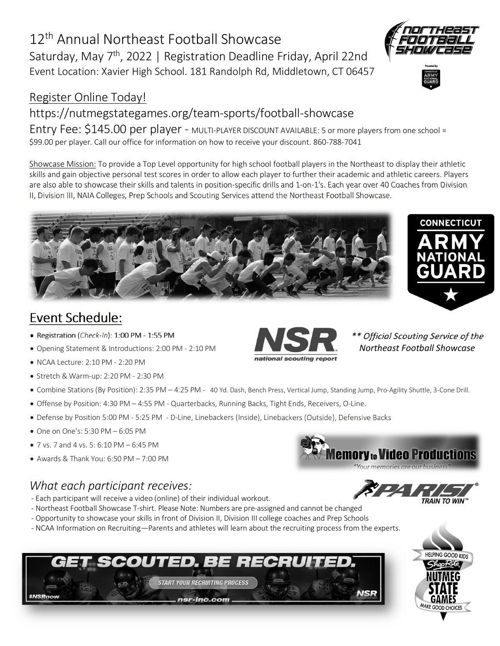# 12<sup>th</sup> Annual Northeast Football Showcase Saturday, May 7<sup>th</sup>, 2022 | Registration Deadline Friday, April 22nd Event Location: Xavier High School. 181 Randolph Rd, Middletown, CT 06457

#### Register Online Today!

## https://nutmegstategames.org/team-sports/football-showcase

Entry Fee: \$145.00 per player - MULTI-PLAYER DISCOUNT AVAILABLE: 5 or more players from one school = \$99.00 per player. Call our office for information on how to receive your discount. 860-788-7041

Showcase Mission: To provide a Top Level opportunity for high school football players in the Northeast to display their athletic skills and gain objective personal test scores in order to allow each player to further their academic and athletic careers. Players are also able to showcase their skills and talents in position-specific drills and 1-on-1's. Each year over 40 Coaches from Division II, Division III, NAIA Colleges, Prep Schools and Scouting Services attend the Northeast Football Showcase.



- · Registration (*Check-In*): 1:00 PM 1:55 PM
- · Opening Statement & Introductions: 2:00 PM 2:10 PM
- · NCAA Lecture: 2:10 PM 2:20 PM
- · Stretch & Warm-up: 2:20 PM 2:30 PM
- · Combine Stations (By Position): 2:35 PM 4:25 PM 40 Yd. Dash, Bench Press, Vertical Jump, Standing Jump, Pro-Agility Shuttle, 3-Cone Drill.
- · Offense by Position: 4:30 PM 4:55 PM Quarterbacks, Running Backs, Tight Ends, Receivers, O-Line.
- · Defense by Position 5:00 PM 5:25 PM D-Line, Linebackers (Inside), Linebackers (Outside), Defensive Backs
- · One on One's: 5:30 PM 6:05 PM
- · 7 vs. 7 and 4 vs. 5: 6:10 PM 6:45 PM
- · Awards & Thank You: 6:50 PM 7:00 PM

### *What each participant receives:*

- Each participant will receive a video (online) of their individual workout.
- Northeast Football Showcase T-shirt. Please Note: Numbers are pre-assigned and cannot be changed
- Opportunity to showcase your skills in front of Division II, Division III college coaches and Prep Schools
- NCAA Information on Recruiting—Parents and athletes will learn about the recruiting process from the experts.





*\*\* Official Scouting Service of the Northeast Football Showcase*



**emory to Video Productions** Your memories are our busin